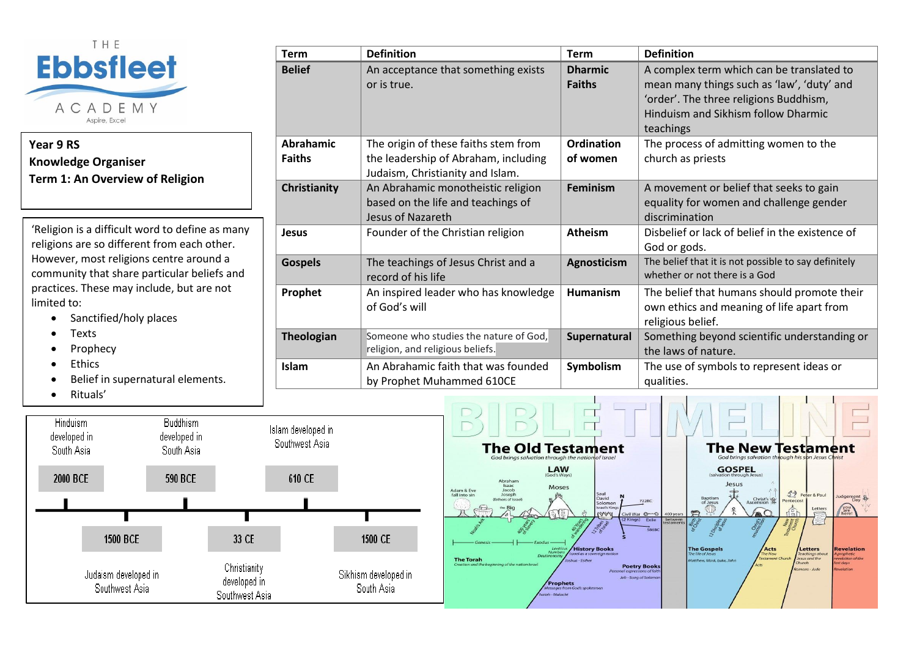

## **Year 9 RS Knowledge Organiser Term 1: An Overview of Religion**

'Religion is a difficult word to define as many religions are so different from each other. However, most religions centre around a community that share particular beliefs and practices. These may include, but are not limited to:

- Sanctified/holy places
- Texts
- **Prophecy**
- Ethics
- Belief in supernatural elements.
- Rituals'

| <b>Term</b>       | <b>Definition</b>                      | <b>Term</b>     | <b>Definition</b>                                    |
|-------------------|----------------------------------------|-----------------|------------------------------------------------------|
| <b>Belief</b>     | An acceptance that something exists    | <b>Dharmic</b>  | A complex term which can be translated to            |
|                   | or is true.                            | <b>Faiths</b>   | mean many things such as 'law', 'duty' and           |
|                   |                                        |                 | 'order'. The three religions Buddhism,               |
|                   |                                        |                 | Hinduism and Sikhism follow Dharmic                  |
|                   |                                        |                 | teachings                                            |
| <b>Abrahamic</b>  | The origin of these faiths stem from   | Ordination      | The process of admitting women to the                |
| <b>Faiths</b>     | the leadership of Abraham, including   | of women        | church as priests                                    |
|                   | Judaism, Christianity and Islam.       |                 |                                                      |
| Christianity      | An Abrahamic monotheistic religion     | <b>Feminism</b> | A movement or belief that seeks to gain              |
|                   | based on the life and teachings of     |                 | equality for women and challenge gender              |
|                   | Jesus of Nazareth                      |                 | discrimination                                       |
| <b>Jesus</b>      | Founder of the Christian religion      | <b>Atheism</b>  | Disbelief or lack of belief in the existence of      |
|                   |                                        |                 | God or gods.                                         |
| <b>Gospels</b>    | The teachings of Jesus Christ and a    | Agnosticism     | The belief that it is not possible to say definitely |
|                   | record of his life                     |                 | whether or not there is a God                        |
| Prophet           | An inspired leader who has knowledge   | <b>Humanism</b> | The belief that humans should promote their          |
|                   | of God's will                          |                 | own ethics and meaning of life apart from            |
|                   |                                        |                 | religious belief.                                    |
| <b>Theologian</b> | Someone who studies the nature of God, | Supernatural    | Something beyond scientific understanding or         |
|                   | religion, and religious beliefs.       |                 | the laws of nature.                                  |
| <b>Islam</b>      | An Abrahamic faith that was founded    | Symbolism       | The use of symbols to represent ideas or             |
|                   | by Prophet Muhammed 610CE              |                 | qualities.                                           |